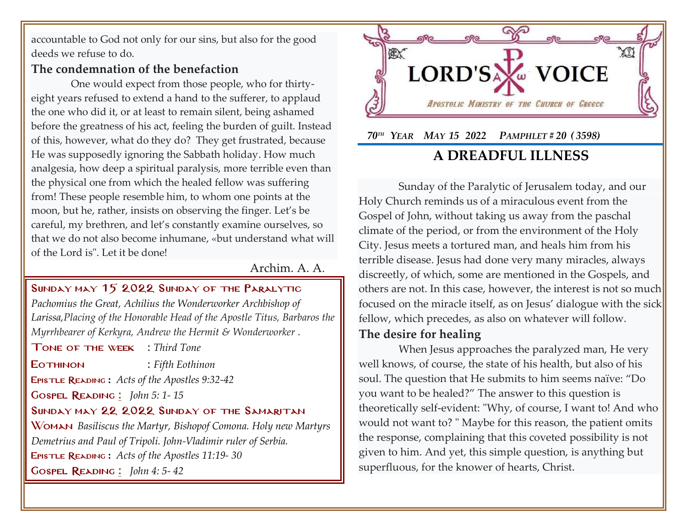accountable to God not only for our sins, but also for the good deeds we refuse to do.

## **The condemnation of the benefaction**

One would expect from those people, who for thirtyeight years refused to extend a hand to the sufferer, to applaud the one who did it, or at least to remain silent, being ashamed before the greatness of his act, feeling the burden of guilt. Instead of this, however, what do they do? They get frustrated, because He was supposedly ignoring the Sabbath holiday. How much analgesia, how deep a spiritual paralysis, more terrible even than the physical one from which the healed fellow was suffering from! These people resemble him, to whom one points at the moon, but he, rather, insists on observing the finger. Let's be careful, my brethren, and let's constantly examine ourselves, so that we do not also become inhumane, «but understand what will of the Lord is". Let it be done!

## Archim. A. A.

### Sunday may 15 2022 Sunday of the Paralytic

*Pachomius the Great, Achilius the Wonderworker Archbishop of Larissa,Placing of the Honorable Head of the Apostle Titus, Barbaros the Myrrhbearer of Kerkyra, Andrew the Hermit & Wonderworker .*

Tone of the week : *Third Tone*

Eothinon : *Fifth Eothinon*

Epistle Reading **:** *[Acts of the Apostles 9:32-42](http://www.goarch.org/chapel/lectionary?type=E&code=353&event=44&date=05/08/2022)*

Gospel Reading **[:](http://www.goarch.org/chapel/lectionary?type=G&code=362&event=218)** *[John 5:](http://www.goarch.org/chapel/lectionary?type=G&code=300&event=900) 1- 15*

#### Sunday may 22 2022 Sunday of the Samaritan

Woman *Basiliscus the Martyr, Bishopof Comona. Holy new Martyrs Demetrius and Paul of Tripoli. John-Vladimir ruler of Serbia.* Epistle Reading **:** *[Acts of the Apostles 11:19-](http://www.goarch.org/chapel/lectionary?type=E&code=353&event=44&date=05/08/2022) 30* Gospel Reading **[:](http://www.goarch.org/chapel/lectionary?type=G&code=362&event=218)** *[John 4:](http://www.goarch.org/chapel/lectionary?type=G&code=300&event=900) 5- 42*



# **A DREADFUL ILLNESS**

Sunday of the Paralytic of Jerusalem today, and our Holy Church reminds us of a miraculous event from the Gospel of John, without taking us away from the paschal climate of the period, or from the environment of the Holy City. Jesus meets a tortured man, and heals him from his terrible disease. Jesus had done very many miracles, always discreetly, of which, some are mentioned in the Gospels, and others are not. In this case, however, the interest is not so much focused on the miracle itself, as on Jesus' dialogue with the sick fellow, which precedes, as also on whatever will follow.

# **The desire for healing**

When Jesus approaches the paralyzed man, He very well knows, of course, the state of his health, but also of his soul. The question that He submits to him seems naïve: "Do you want to be healed?" The answer to this question is theoretically self-evident: "Why, of course, I want to! And who would not want to? " Maybe for this reason, the patient omits the response, complaining that this coveted possibility is not given to him. And yet, this simple question, is anything but superfluous, for the knower of hearts, Christ.